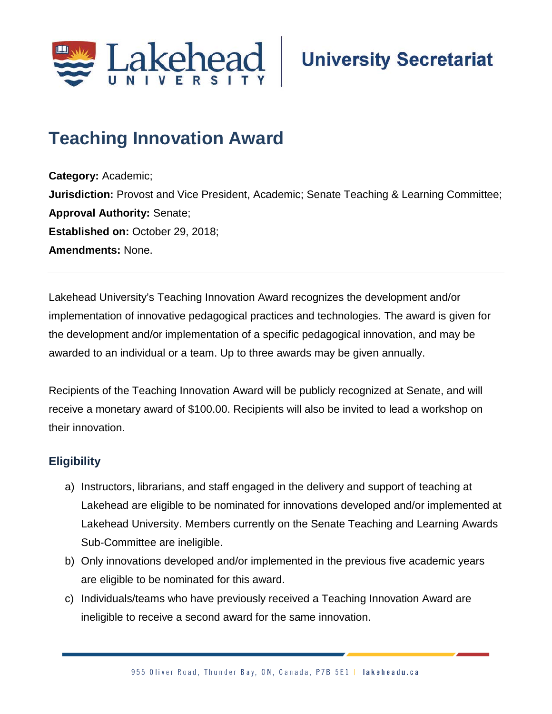

# **Teaching Innovation Award**

**Category:** Academic; **Jurisdiction:** Provost and Vice President, Academic; Senate Teaching & Learning Committee; **Approval Authority:** Senate; **Established on: October 29, 2018; Amendments:** None.

Lakehead University's Teaching Innovation Award recognizes the development and/or implementation of innovative pedagogical practices and technologies. The award is given for the development and/or implementation of a specific pedagogical innovation, and may be awarded to an individual or a team. Up to three awards may be given annually.

Recipients of the Teaching Innovation Award will be publicly recognized at Senate, and will receive a monetary award of \$100.00. Recipients will also be invited to lead a workshop on their innovation.

### **Eligibility**

- a) Instructors, librarians, and staff engaged in the delivery and support of teaching at Lakehead are eligible to be nominated for innovations developed and/or implemented at Lakehead University. Members currently on the Senate Teaching and Learning Awards Sub-Committee are ineligible.
- b) Only innovations developed and/or implemented in the previous five academic years are eligible to be nominated for this award.
- c) Individuals/teams who have previously received a Teaching Innovation Award are ineligible to receive a second award for the same innovation.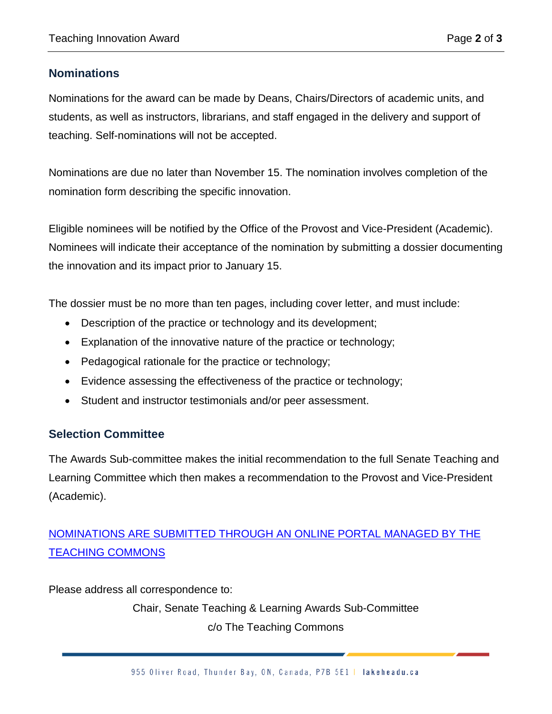### **Nominations**

Nominations for the award can be made by Deans, Chairs/Directors of academic units, and students, as well as instructors, librarians, and staff engaged in the delivery and support of teaching. Self-nominations will not be accepted.

Nominations are due no later than November 15. The nomination involves completion of the nomination form describing the specific innovation.

Eligible nominees will be notified by the Office of the Provost and Vice-President (Academic). Nominees will indicate their acceptance of the nomination by submitting a dossier documenting the innovation and its impact prior to January 15.

The dossier must be no more than ten pages, including cover letter, and must include:

- Description of the practice or technology and its development;
- Explanation of the innovative nature of the practice or technology;
- Pedagogical rationale for the practice or technology;
- Evidence assessing the effectiveness of the practice or technology;
- Student and instructor testimonials and/or peer assessment.

### **Selection Committee**

The Awards Sub-committee makes the initial recommendation to the full Senate Teaching and Learning Committee which then makes a recommendation to the Provost and Vice-President (Academic).

## [NOMINATIONS ARE SUBMITTED THROUGH AN ONLINE PORTAL MANAGED BY THE](https://teachingcommons.lakeheadu.ca/Awards?page=0)  [TEACHING COMMONS](https://teachingcommons.lakeheadu.ca/Awards?page=0)

Please address all correspondence to:

Chair, Senate Teaching & Learning Awards Sub-Committee c/o The Teaching Commons